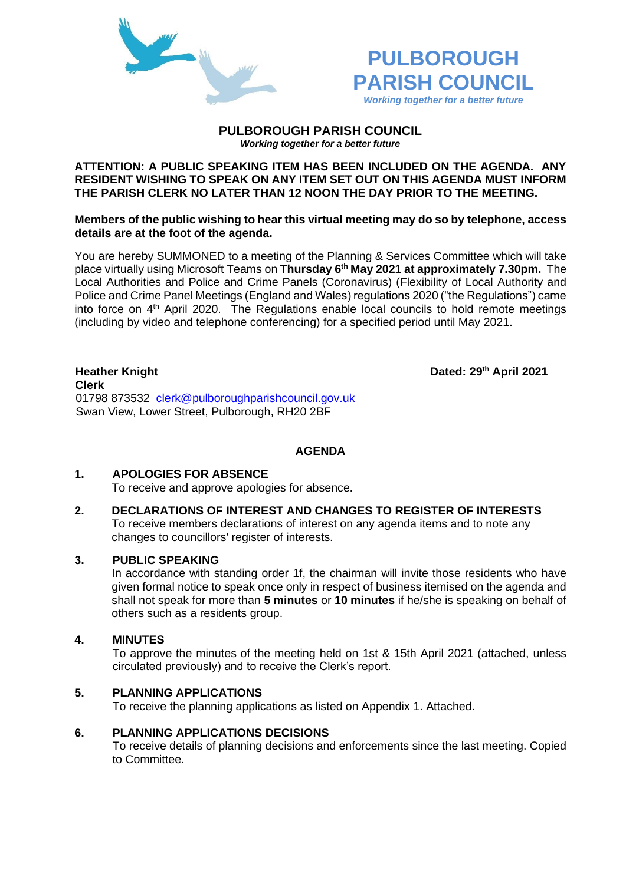



#### **PULBOROUGH PARISH COUNCIL** *Working together for a better future*

## **ATTENTION: A PUBLIC SPEAKING ITEM HAS BEEN INCLUDED ON THE AGENDA. ANY RESIDENT WISHING TO SPEAK ON ANY ITEM SET OUT ON THIS AGENDA MUST INFORM THE PARISH CLERK NO LATER THAN 12 NOON THE DAY PRIOR TO THE MEETING.**

**Members of the public wishing to hear this virtual meeting may do so by telephone, access details are at the foot of the agenda.**

You are hereby SUMMONED to a meeting of the Planning & Services Committee which will take place virtually using Microsoft Teams on **Thursday 6 th May 2021 at approximately 7.30pm.** The Local Authorities and Police and Crime Panels (Coronavirus) (Flexibility of Local Authority and Police and Crime Panel Meetings (England and Wales) regulations 2020 ("the Regulations") came into force on 4th April 2020. The Regulations enable local councils to hold remote meetings (including by video and telephone conferencing) for a specified period until May 2021.

**Heather Knight Dated: 29th April 2021 Clerk**  01798 873532 [clerk@pulboroughparishcouncil.gov.uk](mailto:clerk@pulboroughparishcouncil.gov.uk) Swan View, Lower Street, Pulborough, RH20 2BF

# **AGENDA**

# **1. APOLOGIES FOR ABSENCE**

To receive and approve apologies for absence.

**2. DECLARATIONS OF INTEREST AND CHANGES TO REGISTER OF INTERESTS** To receive members declarations of interest on any agenda items and to note any changes to councillors' register of interests.

# **3. PUBLIC SPEAKING**

In accordance with standing order 1f, the chairman will invite those residents who have given formal notice to speak once only in respect of business itemised on the agenda and shall not speak for more than **5 minutes** or **10 minutes** if he/she is speaking on behalf of others such as a residents group.

### **4. MINUTES**

To approve the minutes of the meeting held on 1st & 15th April 2021 (attached, unless circulated previously) and to receive the Clerk's report.

# **5. PLANNING APPLICATIONS**

To receive the planning applications as listed on Appendix 1. Attached.

## **6. PLANNING APPLICATIONS DECISIONS**

To receive details of planning decisions and enforcements since the last meeting. Copied to Committee.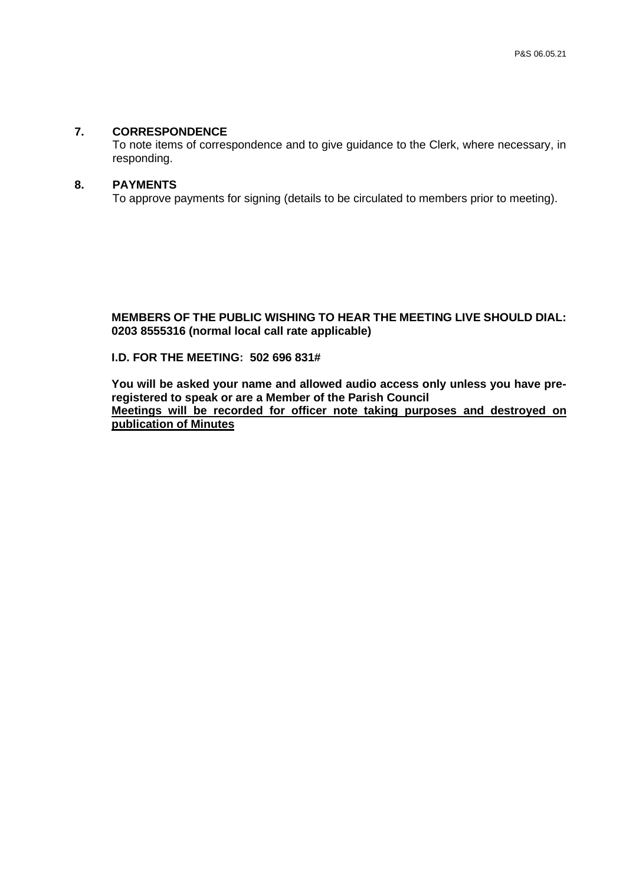#### **7. CORRESPONDENCE**

To note items of correspondence and to give guidance to the Clerk, where necessary, in responding.

#### **8. PAYMENTS**

To approve payments for signing (details to be circulated to members prior to meeting).

**MEMBERS OF THE PUBLIC WISHING TO HEAR THE MEETING LIVE SHOULD DIAL: 0203 8555316 (normal local call rate applicable)**

### **I.D. FOR THE MEETING: 502 696 831#**

**You will be asked your name and allowed audio access only unless you have preregistered to speak or are a Member of the Parish Council Meetings will be recorded for officer note taking purposes and destroyed on publication of Minutes**